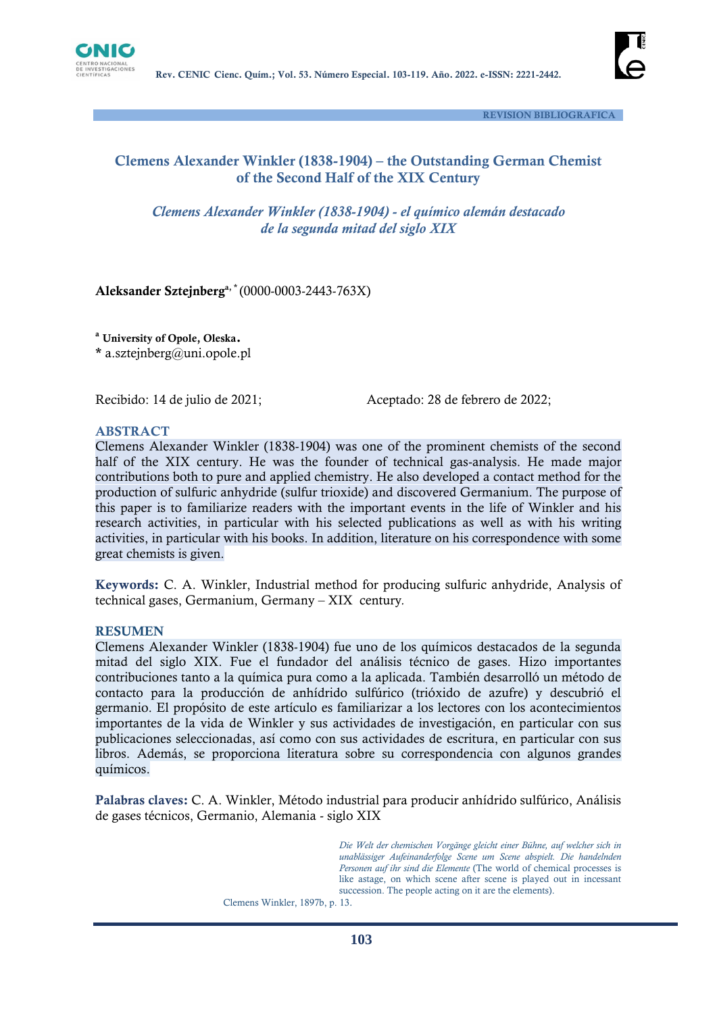



 **REVISION BIBLIOGRAFICA**

# **Clemens Alexander Winkler (1838-1904) – the Outstanding German Chemist of the Second Half of the XIX Century**

*Clemens Alexander Winkler (1838-1904) - el químico alemán destacado de la segunda mitad del siglo XIX*

# **Aleksander Sztejnberga, \*** (0000-0003-2443-763X)

**<sup>a</sup> University of Opole, Oleska. \*** a.sztejnberg@uni.opole.pl

Recibido: 14 de julio de 2021;Aceptado: 28 de febrero de 2022;

#### **ABSTRACT**

Clemens Alexander Winkler (1838-1904) was one of the prominent chemists of the second half of the XIX century. He was the founder of technical gas-analysis. He made major contributions both to pure and applied chemistry. He also developed a contact method for the production of sulfuric anhydride (sulfur trioxide) and discovered Germanium. The purpose of this paper is to familiarize readers with the important events in the life of Winkler and his research activities, in particular with his selected publications as well as with his writing activities, in particular with his books. In addition, literature on his correspondence with some great chemists is given.

**Keywords:** C. A. Winkler, Industrial method for producing sulfuric anhydride, Analysis of technical gases, Germanium, Germany – XIX century*.*

#### **RESUMEN**

Clemens Alexander Winkler (1838-1904) fue uno de los químicos destacados de la segunda mitad del siglo XIX. Fue el fundador del análisis técnico de gases. Hizo importantes contribuciones tanto a la química pura como a la aplicada. También desarrolló un método de contacto para la producción de anhídrido sulfúrico (trióxido de azufre) y descubrió el germanio. El propósito de este artículo es familiarizar a los lectores con los acontecimientos importantes de la vida de Winkler y sus actividades de investigación, en particular con sus publicaciones seleccionadas, así como con sus actividades de escritura, en particular con sus libros. Además, se proporciona literatura sobre su correspondencia con algunos grandes químicos.

**Palabras claves:** C. A. Winkler, Método industrial para producir anhídrido sulfúrico, Análisis de gases técnicos, Germanio, Alemania - siglo XIX

> *Die Welt der chemischen Vorgänge gleicht einer Bühne, auf welcher sich in unablässiger Aufeinanderfolge Scene um Scene abspielt. Die handelnden Personen auf ihr sind die Elemente* (The world of chemical processes is like astage, on which scene after scene is played out in incessant succession. The people acting on it are the elements).

Clemens Winkler, 1897b, p. 13.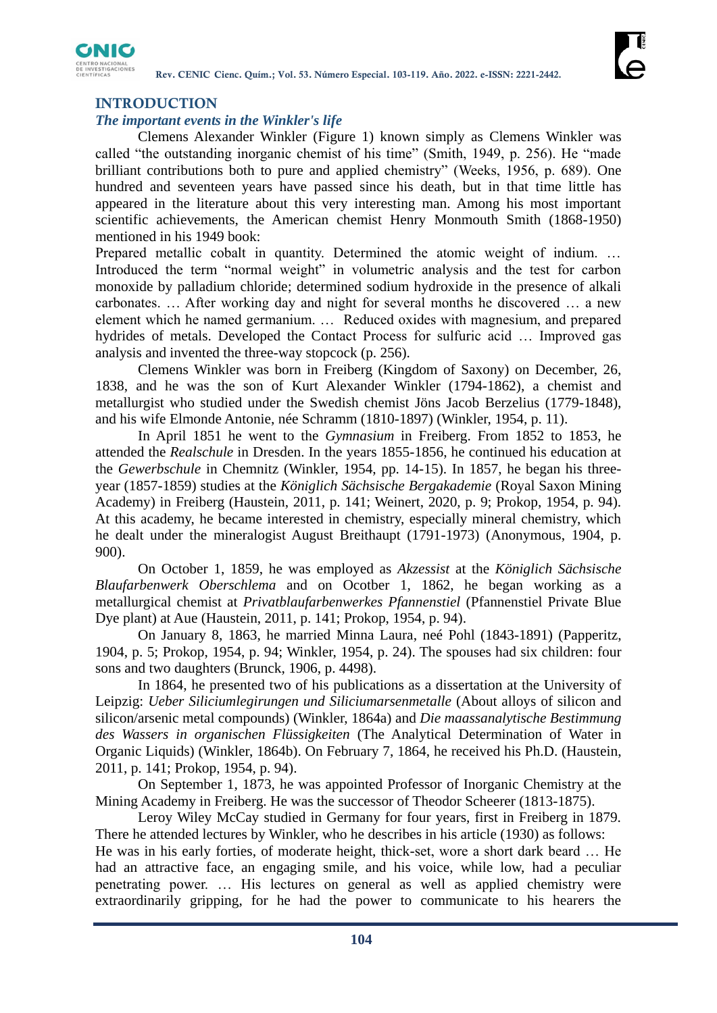

# **INTRODUCTION**

### *The important events in the Winkler's life*

Clemens Alexander Winkler (Figure 1) known simply as Clemens Winkler was called "the outstanding inorganic chemist of his time" (Smith, 1949, p. 256). He "made brilliant contributions both to pure and applied chemistry" (Weeks, 1956, p. 689). One hundred and seventeen years have passed since his death, but in that time little has appeared in the literature about this very interesting man. Among his most important scientific achievements, the American chemist Henry Monmouth Smith (1868-1950) mentioned in his 1949 book:

Prepared metallic cobalt in quantity. Determined the atomic weight of indium. … Introduced the term "normal weight" in volumetric analysis and the test for carbon monoxide by palladium chloride; determined sodium hydroxide in the presence of alkali carbonates. … After working day and night for several months he discovered … a new element which he named germanium. … Reduced oxides with magnesium, and prepared hydrides of metals. Developed the Contact Process for sulfuric acid … Improved gas analysis and invented the three-way stopcock (p. 256).

Clemens Winkler was born in Freiberg (Kingdom of Saxony) on December, 26, 1838, and he was the son of Kurt Alexander Winkler (1794-1862), a chemist and metallurgist who studied under the Swedish chemist Jöns Jacob Berzelius (1779-1848), and his wife Elmonde Antonie, née Schramm (1810-1897) (Winkler, 1954, p. 11).

In April 1851 he went to the *Gymnasium* in Freiberg. From 1852 to 1853, he attended the *Realschule* in Dresden. In the years 1855-1856, he continued his education at the *Gewerbschule* in Chemnitz (Winkler, 1954, pp. 14-15). In 1857, he began his threeyear (1857-1859) studies at the *Königlich Sächsische Bergakademie* (Royal Saxon Mining Academy) in Freiberg (Haustein, 2011, p. 141; Weinert, 2020, p. 9; Prokop, 1954, p. 94). At this academy, he became interested in chemistry, especially mineral chemistry, which he dealt under the mineralogist August Breithaupt (1791-1973) (Anonymous, 1904, p. 900).

On October 1, 1859, he was employed as *Akzessist* at the *Königlich Sächsische Blaufarbenwerk Oberschlema* and on Ocotber 1, 1862, he began working as a metallurgical chemist at *Privatblaufarbenwerkes Pfannenstiel* (Pfannenstiel Private Blue Dye plant) at Aue (Haustein, 2011, p. 141; Prokop, 1954, p. 94).

On January 8, 1863, he married Minna Laura, neé Pohl (1843-1891) (Papperitz, 1904, p. 5; Prokop, 1954, p. 94; Winkler, 1954, p. 24). The spouses had six children: four sons and two daughters (Brunck, 1906, p. 4498).

In 1864, he presented two of his publications as a dissertation at the University of Leipzig: *Ueber Siliciumlegirungen und Siliciumarsenmetalle* (About alloys of silicon and silicon/arsenic metal compounds) (Winkler, 1864a) and *Die maassanalytische Bestimmung des Wassers in organischen Flüssigkeiten* (The Analytical Determination of Water in Organic Liquids) (Winkler, 1864b). On February 7, 1864, he received his Ph.D. (Haustein, 2011, p. 141; Prokop, 1954, p. 94).

On September 1, 1873, he was appointed Professor of Inorganic Chemistry at the Mining Academy in Freiberg. He was the successor of Theodor Scheerer (1813-1875).

Leroy Wiley McCay studied in Germany for four years, first in Freiberg in 1879. There he attended lectures by Winkler, who he describes in his article (1930) as follows: He was in his early forties, of moderate height, thick-set, wore a short dark beard … He had an attractive face, an engaging smile, and his voice, while low, had a peculiar penetrating power. … His lectures on general as well as applied chemistry were extraordinarily gripping, for he had the power to communicate to his hearers the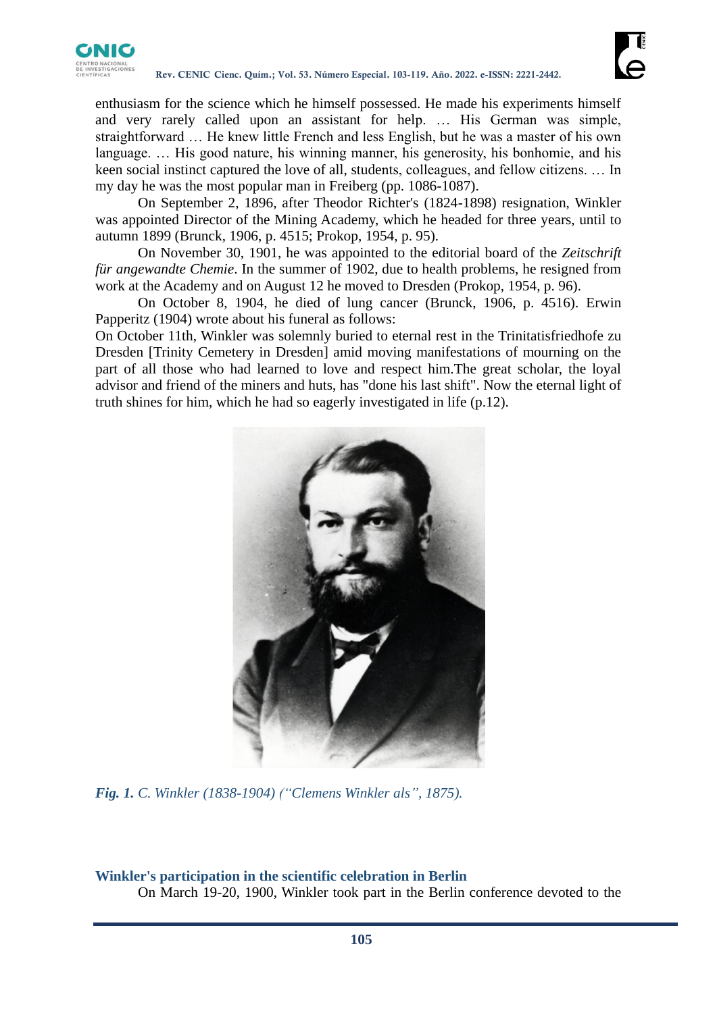

enthusiasm for the science which he himself possessed. He made his experiments himself and very rarely called upon an assistant for help. … His German was simple, straightforward … He knew little French and less English, but he was a master of his own language. … His good nature, his winning manner, his generosity, his bonhomie, and his keen social instinct captured the love of all, students, colleagues, and fellow citizens. … In my day he was the most popular man in Freiberg (pp. 1086-1087).

On September 2, 1896, after Theodor Richter's (1824-1898) resignation, Winkler was appointed Director of the Mining Academy, which he headed for three years, until to autumn 1899 (Brunck, 1906, p. 4515; Prokop, 1954, p. 95).

On November 30, 1901, he was appointed to the editorial board of the *Zeitschrift für angewandte Chemie*. In the summer of 1902, due to health problems, he resigned from work at the Academy and on August 12 he moved to Dresden (Prokop, 1954, p. 96).

On October 8, 1904, he died of lung cancer (Brunck, 1906, p. 4516). Erwin Papperitz (1904) wrote about his funeral as follows:

On October 11th, Winkler was solemnly buried to eternal rest in the Trinitatisfriedhofe zu Dresden [Trinity Cemetery in Dresden] amid moving manifestations of mourning on the part of all those who had learned to love and respect him.The great scholar, the loyal advisor and friend of the miners and huts, has "done his last shift". Now the eternal light of truth shines for him, which he had so eagerly investigated in life (p.12).



*Fig. 1. C. Winkler (1838-1904) ("Clemens Winkler als", 1875).*

# **Winkler's participation in the scientific celebration in Berlin**

On March 19-20, 1900, Winkler took part in the Berlin conference devoted to the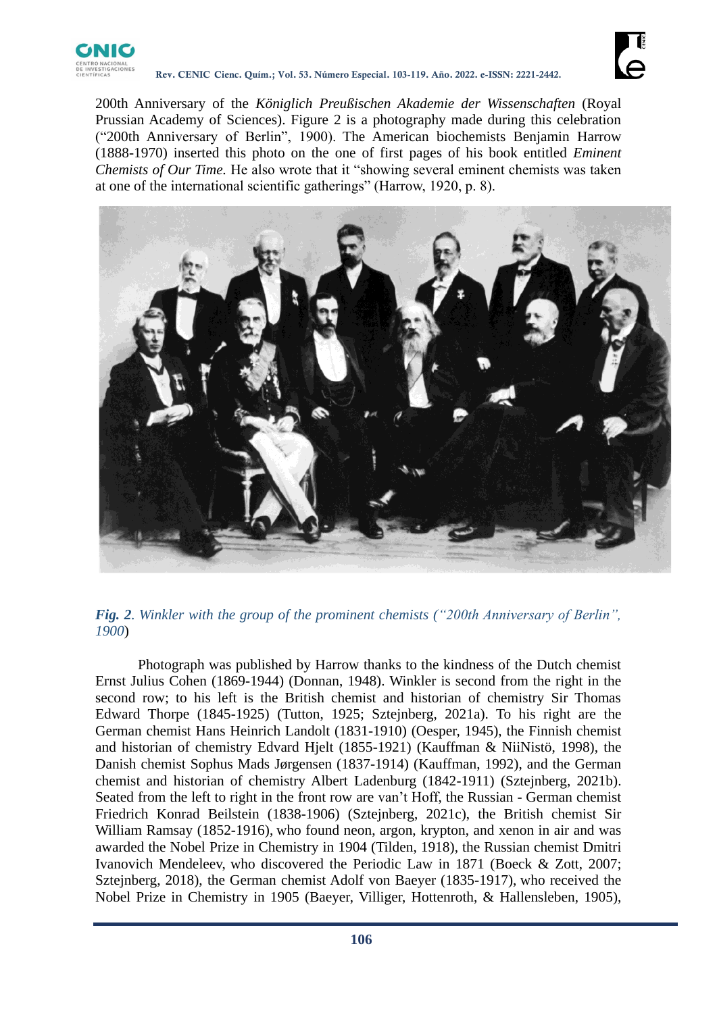

200th Anniversary of the *Königlich Preußischen Akademie der Wissenschaften* (Royal Prussian Academy of Sciences). Figure 2 is a photography made during this celebration ("200th Anniversary of Berlin", 1900). The American biochemists Benjamin Harrow (1888-1970) inserted this photo on the one of first pages of his book entitled *Eminent Chemists of Our Time.* He also wrote that it "showing several eminent chemists was taken at one of the international scientific gatherings" (Harrow, 1920, p. 8).





Photograph was published by Harrow thanks to the kindness of the Dutch chemist Ernst Julius Cohen (1869-1944) (Donnan, 1948). Winkler is second from the right in the second row; to his left is the British chemist and historian of chemistry Sir Thomas Edward Thorpe (1845-1925) (Tutton, 1925; Sztejnberg, 2021a). To his right are the German chemist Hans Heinrich Landolt (1831-1910) (Oesper, 1945), the Finnish chemist and historian of chemistry Edvard Hjelt (1855-1921) (Kauffman & NiiNistö, 1998), the Danish chemist Sophus Mads Jørgensen (1837-1914) (Kauffman, 1992), and the German chemist and historian of chemistry Albert Ladenburg (1842-1911) (Sztejnberg, 2021b). Seated from the left to right in the front row are van't Hoff, the Russian - German chemist Friedrich Konrad Beilstein (1838-1906) (Sztejnberg, 2021c), the British chemist Sir William Ramsay (1852-1916), who found neon, argon, krypton, and xenon in air and was awarded the Nobel Prize in Chemistry in 1904 (Tilden, 1918), the Russian chemist Dmitri Ivanovich Mendeleev, who discovered the Periodic Law in 1871 (Boeck & Zott, 2007; Sztejnberg, 2018), the German chemist Adolf von Baeyer (1835-1917), who received the Nobel Prize in Chemistry in 1905 (Baeyer, Villiger, Hottenroth, & Hallensleben, 1905),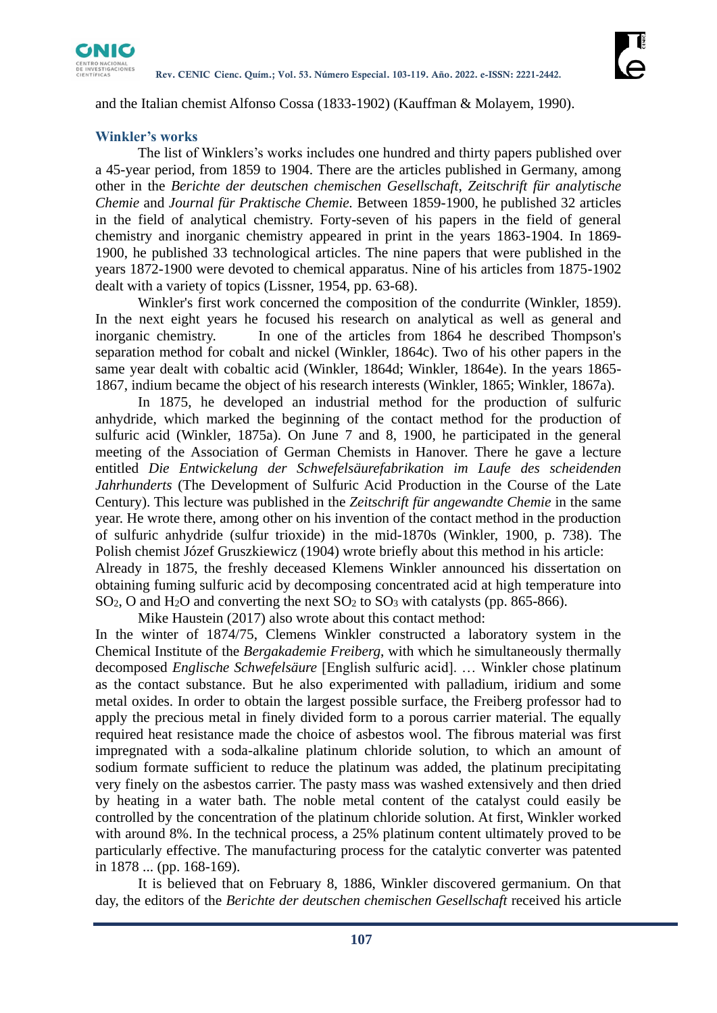

and the Italian chemist Alfonso Cossa (1833-1902) (Kauffman & Molayem, 1990).

### **Winkler's works**

The list of Winklers's works includes one hundred and thirty papers published over a 45-year period, from 1859 to 1904. There are the articles published in Germany, among other in the *Berichte der deutschen chemischen Gesellschaft*, *Zeitschrift für analytische Chemie* and *Journal für Praktische Chemie.* Between 1859-1900, he published 32 articles in the field of analytical chemistry. Forty-seven of his papers in the field of general chemistry and inorganic chemistry appeared in print in the years 1863-1904. In 1869- 1900, he published 33 technological articles. The nine papers that were published in the years 1872-1900 were devoted to chemical apparatus. Nine of his articles from 1875-1902 dealt with a variety of topics (Lissner, 1954, pp. 63-68).

Winkler's first work concerned the composition of the condurrite (Winkler, 1859). In the next eight years he focused his research on analytical as well as general and inorganic chemistry. In one of the articles from 1864 he described Thompson's separation method for cobalt and nickel (Winkler, 1864c). Two of his other papers in the same year dealt with cobaltic acid (Winkler, 1864d; Winkler, 1864e). In the years 1865- 1867, indium became the object of his research interests (Winkler, 1865; Winkler, 1867a).

In 1875, he developed an industrial method for the production of sulfuric anhydride, which marked the beginning of the contact method for the production of sulfuric acid (Winkler, 1875a). On June 7 and 8, 1900, he participated in the general meeting of the Association of German Chemists in Hanover. There he gave a lecture entitled *Die Entwickelung der Schwefelsäurefabrikation im Laufe des scheidenden Jahrhunderts* (The Development of Sulfuric Acid Production in the Course of the Late Century). This lecture was published in the *Zeitschrift für angewandte Chemie* in the same year. He wrote there, among other on his invention of the contact method in the production of sulfuric anhydride (sulfur trioxide) in the mid-1870s (Winkler, 1900, p. 738). The Polish chemist Józef Gruszkiewicz (1904) wrote briefly about this method in his article: Already in 1875, the freshly deceased Klemens Winkler announced his dissertation on obtaining fuming sulfuric acid by decomposing concentrated acid at high temperature into  $SO<sub>2</sub>$ , O and H<sub>2</sub>O and converting the next  $SO<sub>2</sub>$  to  $SO<sub>3</sub>$  with catalysts (pp. 865-866).

Mike Haustein (2017) also wrote about this contact method:

In the winter of 1874/75, Clemens Winkler constructed a laboratory system in the Chemical Institute of the *Bergakademie Freiberg*, with which he simultaneously thermally decomposed *Englische Schwefelsäure* [English sulfuric acid]. … Winkler chose platinum as the contact substance. But he also experimented with palladium, iridium and some metal oxides. In order to obtain the largest possible surface, the Freiberg professor had to apply the precious metal in finely divided form to a porous carrier material. The equally required heat resistance made the choice of asbestos wool. The fibrous material was first impregnated with a soda-alkaline platinum chloride solution, to which an amount of sodium formate sufficient to reduce the platinum was added, the platinum precipitating very finely on the asbestos carrier. The pasty mass was washed extensively and then dried by heating in a water bath. The noble metal content of the catalyst could easily be controlled by the concentration of the platinum chloride solution. At first, Winkler worked with around 8%. In the technical process, a 25% platinum content ultimately proved to be particularly effective. The manufacturing process for the catalytic converter was patented in 1878 ... (pp. 168-169).

It is believed that on February 8, 1886, Winkler discovered germanium. On that day, the editors of the *Berichte der deutschen chemischen Gesellschaft* received his article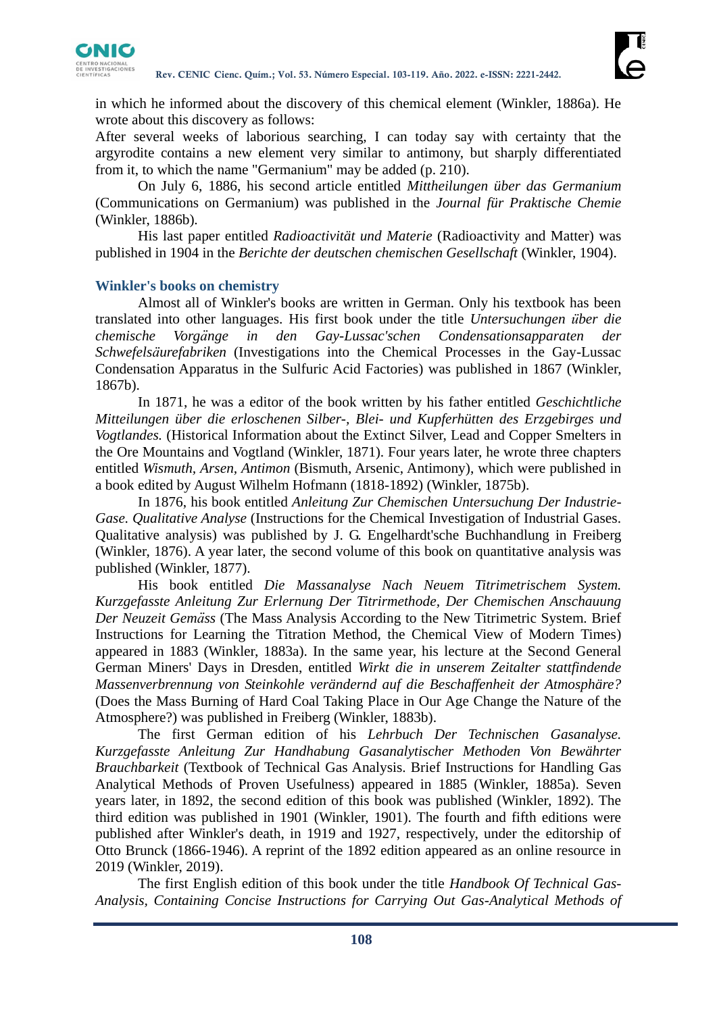

in which he informed about the discovery of this chemical element (Winkler, 1886a). He wrote about this discovery as follows:

After several weeks of laborious searching, I can today say with certainty that the argyrodite contains a new element very similar to antimony, but sharply differentiated from it, to which the name "Germanium" may be added (p. 210).

On July 6, 1886, his second article entitled *Mittheilungen über das Germanium* (Communications on Germanium) was published in the *Journal für Praktische Chemie*  (Winkler, 1886b)*.*

His last paper entitled *Radioactivität und Materie* (Radioactivity and Matter) was published in 1904 in the *Berichte der deutschen chemischen Gesellschaft* (Winkler, 1904).

#### **Winkler's books on chemistry**

Almost all of Winkler's books are written in German. Only his textbook has been translated into other languages. His first book under the title *Untersuchungen über die chemische Vorgänge in den Gay-Lussac'schen Condensationsapparaten der Schwefelsäurefabriken* (Investigations into the Chemical Processes in the Gay-Lussac Condensation Apparatus in the Sulfuric Acid Factories) was published in 1867 (Winkler, 1867b).

In 1871, he was a editor of the book written by his father entitled *Geschichtliche Mitteilungen über die erloschenen Silber-, Blei- und Kupferhütten des Erzgebirges und Vogtlandes.* (Historical Information about the Extinct Silver, Lead and Copper Smelters in the Ore Mountains and Vogtland (Winkler, 1871). Four years later, he wrote three chapters entitled *Wismuth, Arsen, Antimon* (Bismuth, Arsenic, Antimony), which were published in a book edited by August Wilhelm Hofmann (1818-1892) (Winkler, 1875b).

In 1876, his book entitled *Anleitung Zur Chemischen Untersuchung Der Industrie-Gase. Qualitative Analyse* (Instructions for the Chemical Investigation of Industrial Gases. Qualitative analysis) was published by J. G. Engelhardt'sche Buchhandlung in Freiberg (Winkler, 1876). A year later, the second volume of this book on quantitative analysis was published (Winkler, 1877).

His book entitled *Die Massanalyse Nach Neuem Titrimetrischem System. Kurzgefasste Anleitung Zur Erlernung Der Titrirmethode, Der Chemischen Anschauung Der Neuzeit Gemäss* (The Mass Analysis According to the New Titrimetric System. Brief Instructions for Learning the Titration Method, the Chemical View of Modern Times) appeared in 1883 (Winkler, 1883a). In the same year, his lecture at the Second General German Miners' Days in Dresden, entitled *Wirkt die in unserem Zeitalter stattfindende Massenverbrennung von Steinkohle verändernd auf die Beschaffenheit der Atmosphäre?* (Does the Mass Burning of Hard Coal Taking Place in Our Age Change the Nature of the Atmosphere?) was published in Freiberg (Winkler, 1883b).

The first German edition of his *Lehrbuch Der Technischen Gasanalyse. Kurzgefasste Anleitung Zur Handhabung Gasanalytischer Methoden Von Bewährter Brauchbarkeit* (Textbook of Technical Gas Analysis. Brief Instructions for Handling Gas Analytical Methods of Proven Usefulness) appeared in 1885 (Winkler, 1885a). Seven years later, in 1892, the second edition of this book was published (Winkler, 1892). The third edition was published in 1901 (Winkler, 1901). The fourth and fifth editions were published after Winkler's death, in 1919 and 1927, respectively, under the editorship of Otto Brunck (1866-1946). A reprint of the 1892 edition appeared as an online resource in 2019 (Winkler, 2019).

The first English edition of this book under the title *Handbook Of Technical Gas-Analysis, Containing Concise Instructions for Carrying Out Gas-Analytical Methods of*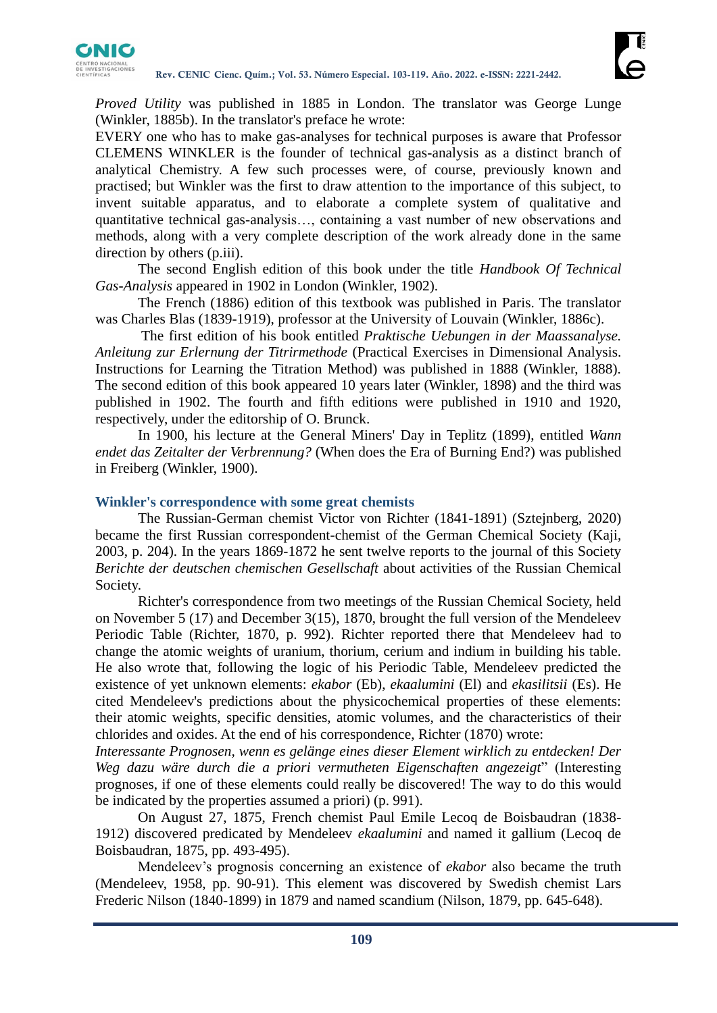

*Proved Utility* was published in 1885 in London. The translator was George Lunge (Winkler, 1885b). In the translator's preface he wrote:

EVERY one who has to make gas-analyses for technical purposes is aware that Professor CLEMENS WINKLER is the founder of technical gas-analysis as a distinct branch of analytical Chemistry. A few such processes were, of course, previously known and practised; but Winkler was the first to draw attention to the importance of this subject, to invent suitable apparatus, and to elaborate a complete system of qualitative and quantitative technical gas-analysis…, containing a vast number of new observations and methods, along with a very complete description of the work already done in the same direction by others (p.iii).

The second English edition of this book under the title *Handbook Of Technical Gas-Analysis* appeared in 1902 in London (Winkler, 1902).

The French (1886) edition of this textbook was published in Paris. The translator was Charles Blas (1839-1919), professor at the University of Louvain (Winkler, 1886c).

The first edition of his book entitled *Praktische Uebungen in der Maassanalyse. Anleitung zur Erlernung der Titrirmethode* (Practical Exercises in Dimensional Analysis. Instructions for Learning the Titration Method) was published in 1888 (Winkler, 1888). The second edition of this book appeared 10 years later (Winkler, 1898) and the third was published in 1902. The fourth and fifth editions were published in 1910 and 1920, respectively, under the editorship of O. Brunck.

In 1900, his lecture at the General Miners' Day in Teplitz (1899), entitled *Wann endet das Zeitalter der Verbrennung?* (When does the Era of Burning End?) was published in Freiberg (Winkler, 1900).

#### **Winkler's correspondence with some great chemists**

The Russian-German chemist Victor von Richter (1841-1891) (Sztejnberg, 2020) became the first Russian correspondent-chemist of the German Chemical Society (Kaji, 2003, p. 204). In the years 1869-1872 he sent twelve reports to the journal of this Society *Berichte der deutschen chemischen Gesellschaft* about activities of the Russian Chemical Society.

Richter's correspondence from two meetings of the Russian Chemical Society, held on November 5 (17) and December 3(15), 1870, brought the full version of the Mendeleev Periodic Table (Richter, 1870, p. 992). Richter reported there that Mendeleev had to change the atomic weights of uranium, thorium, cerium and indium in building his table. He also wrote that, following the logic of his Periodic Table, Mendeleev predicted the existence of yet unknown elements: *ekabor* (Eb), *ekaalumini* (El) and *ekasilitsii* (Es). He cited Mendeleev's predictions about the physicochemical properties of these elements: their atomic weights, specific densities, atomic volumes, and the characteristics of their chlorides and oxides. At the end of his correspondence, Richter (1870) wrote:

*Interessante Prognosen, wenn es gelänge eines dieser Element wirklich zu entdecken! Der Weg dazu wäre durch die a priori vermutheten Eigenschaften angezeigt*" (Interesting prognoses, if one of these elements could really be discovered! The way to do this would be indicated by the properties assumed a priori) (p. 991).

On August 27, 1875, French chemist Paul Emile Lecoq de Boisbaudran (1838- 1912) discovered predicated by Mendeleev *ekaalumini* and named it gallium (Lecoq de Boisbaudran, 1875, pp. 493-495).

Mendeleev's prognosis concerning an existence of *ekabor* also became the truth (Mendeleev, 1958, pp. 90-91). This element was discovered by Swedish chemist Lars Frederic Nilson (1840-1899) in 1879 and named scandium (Nilson, 1879, pp. 645-648).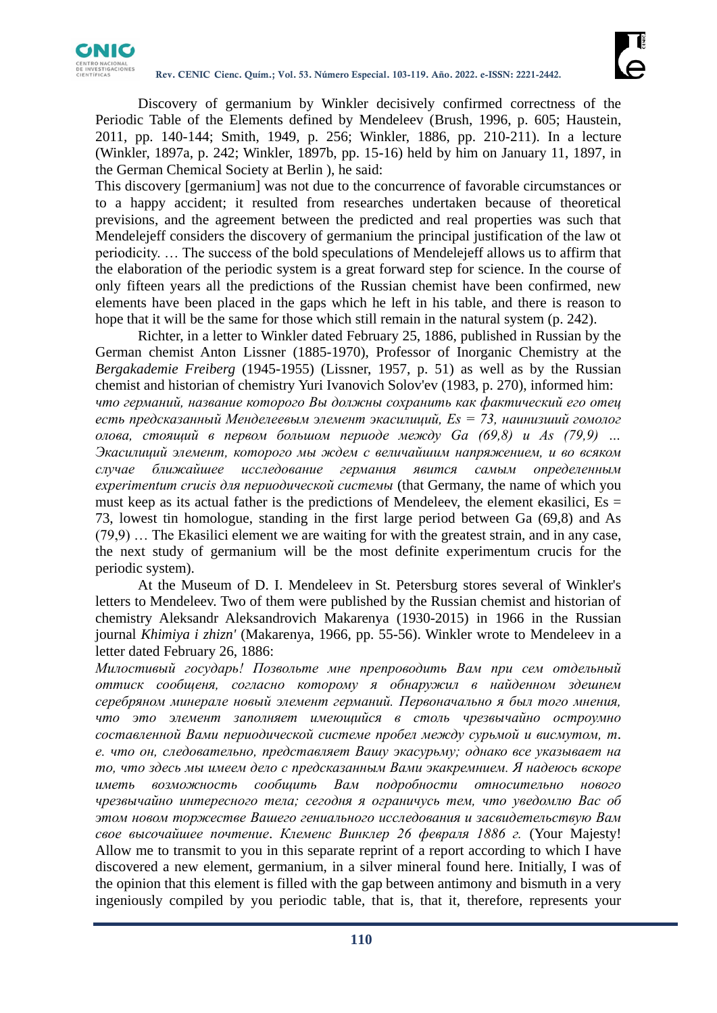

Discovery of germanium by Winkler decisively confirmed correctness of the Periodic Table of the Elements defined by Mendeleev (Brush, 1996, p. 605; Haustein, 2011, pp. 140-144; Smith, 1949, p. 256; Winkler, 1886, pp. 210-211). In a lecture (Winkler, 1897a, p. 242; Winkler, 1897b, pp. 15-16) held by him on January 11, 1897, in the German Chemical Society at Berlin ), he said:

This discovery [germanium] was not due to the concurrence of favorable circumstances or to a happy accident; it resulted from researches undertaken because of theoretical previsions, and the agreement between the predicted and real properties was such that Mendelejeff considers the discovery of germanium the principal justification of the law ot periodicity. … The success of the bold speculations of Mendelejeff allows us to affirm that the elaboration of the periodic system is a great forward step for science. In the course of only fifteen years all the predictions of the Russian chemist have been confirmed, new elements have been placed in the gaps which he left in his table, and there is reason to hope that it will be the same for those which still remain in the natural system (p. 242).

Richter, in a letter to Winkler dated February 25, 1886, published in Russian by the German chemist Anton Lissner (1885-1970), Professor of Inorganic Chemistry at the *Bergakademie Freiberg* (1945-1955) (Lissner, 1957, p. 51) as well as by the Russian chemist and historian of chemistry Yuri Ivanovich Solov'ev (1983, p. 270), informed him: *что германий, название которого Вы должны сохранить как фактический его отец есть предсказанный Менделеевым элемент экасилиций, Es = 73, наинизший гомолог олова, стоящий в первом большом периоде между Ga (69,8) и As (79,9) … Экасилиций элемент, которого мы ждем с величайшим напряжением, и во всяком случае ближайшее исследование германия явится самым определенным experimentum crucis для периодической системы* (that Germany, the name of which you must keep as its actual father is the predictions of Mendeleev, the element ekasilici,  $Es =$ 73, lowest tin homologue, standing in the first large period between Ga (69,8) and As (79,9) … The Ekasilici element we are waiting for with the greatest strain, and in any case, the next study of germanium will be the most definite experimentum crucis for the periodic system).

At the Museum of D. I. Mendeleev in St. Petersburg stores several of Winkler's letters to Mendeleev. Two of them were published by the Russian chemist and historian of chemistry Aleksandr Aleksandrovich Makarenya (1930-2015) in 1966 in the Russian journal *Khimiya i zhizn'* (Makarenya, 1966, pp. 55-56). Winkler wrote to Mendeleev in a letter dated February 26, 1886:

*Милостивый государь! Позвольте мне препроводить Вам при сем отдельный оттиск сообщеня, согласно которому я обнаружил в найденном здешнем серебряном минерале новый элемент германий. Первоначально я был того мнения, что это элемент заполняет имеющийся в столь чрезвычайно остроумно составленной Вами периодической системе пробел между сурьмой и висмутом, т. е. что он, следовательно, представляет Вашу экасурьму; oднако все указывает на то, что здесь мы имеем дело c предсказанным Вами экакремнием. Я надеюсь вскоре иметь возможность сообщить Вам подробности относительно нового чрезвычайно интересного тела; сегодня я ограничусь тем, что уведомлю Вас об этом новом торжестве Вашего гениального исследования и засвидетельствую Вам свое высочайшее почтение*. *Клеменс Винклер 26 февраля 1886 г.* (Your Majesty! Allow me to transmit to you in this separate reprint of a report according to which I have discovered a new element, germanium, in a silver mineral found here. Initially, I was of the opinion that this element is filled with the gap between antimony and bismuth in a very ingeniously compiled by you periodic table, that is, that it, therefore, represents your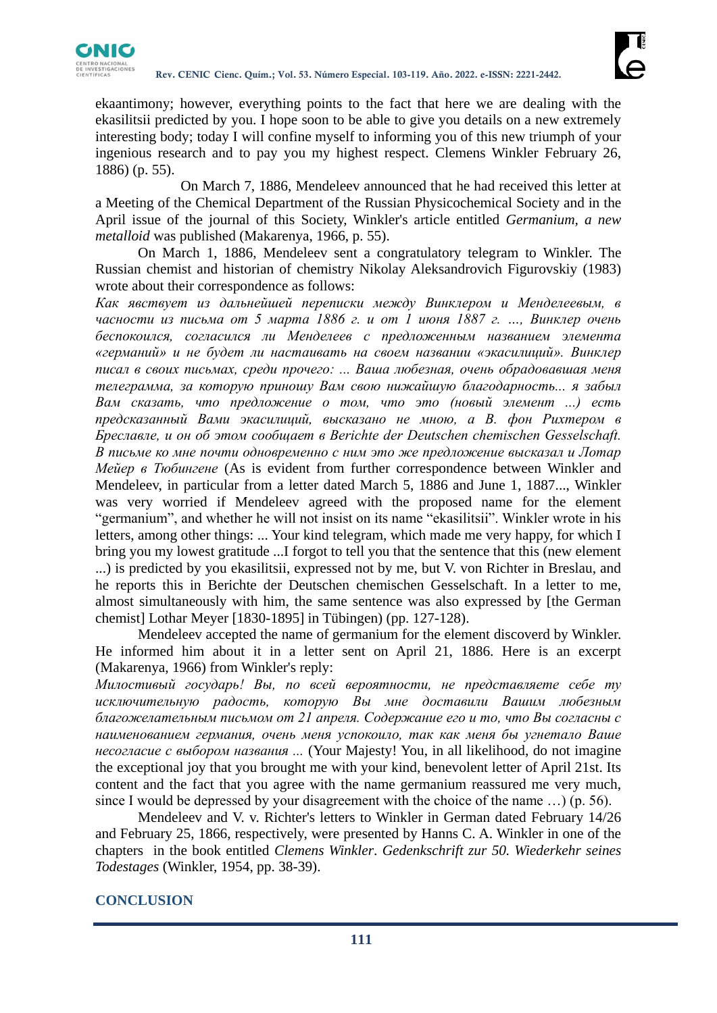

ekaantimony; however, everything points to the fact that here we are dealing with the ekasilitsii predicted by you. I hope soon to be able to give you details on a new extremely interesting body; today I will confine myself to informing you of this new triumph of your ingenious research and to pay you my highest respect. Clemens Winkler February 26, 1886) (p. 55).

On March 7, 1886, Mendeleev announced that he had received this letter at a Meeting of the Chemical Department of the Russian Physicochemical Society and in the April issue of the journal of this Society, Winkler's article entitled *Germanium, a new metalloid* was published (Makarenya, 1966, p. 55).

On March 1, 1886, Mendeleev sent a congratulatory telegram to Winkler. The Russian chemist and historian of chemistry Nikolay Aleksandrovich Figurovskiy (1983) wrote about their correspondence as follows:

*Как явcтвует из дальнейшей переписки между Винклером и Менделеевым, в часности из письма от 5 марта 1886 г. и от 1 июня 1887 г. …, Винклер очень беспокоился, согласился ли Менделеев с предложенным названием элемента «германий» и не будет ли настаивать на своем названии «экасилиций». Винклер писал в своих письмах, среди прочего: ... Ваша любезная, очень обрадовавшая меня телеграмма, за которую приношу Вам свою нижайшую благодарноcть... я забыл Вам сказать, что предложение о том, что это (новый элемент ...) есть предсказанный Вами экасилиций, высказано не мною, а В. фон Рихтером в Бреславле, и он об этом сообщает в Berichte der Deutschen chemischen Gesselschaft. В письме ко мне почти одновременно с ним это же предложение высказал и Лотар Мейер в Тюбингене* (As is evident from further correspondence between Winkler and Mendeleev, in particular from a letter dated March 5, 1886 and June 1, 1887..., Winkler was very worried if Mendeleev agreed with the proposed name for the element "germanium", and whether he will not insist on its name "ekasilitsii". Winkler wrote in his letters, among other things: ... Your kind telegram, which made me very happy, for which I bring you my lowest gratitude ...I forgot to tell you that the sentence that this (new element ...) is predicted by you ekasilitsii, expressed not by me, but V. von Richter in Breslau, and he reports this in Berichte der Deutschen chemischen Gesselschaft. In a letter to me, almost simultaneously with him, the same sentence was also expressed by [the German chemist] Lothar Meyer [1830-1895] in Tübingen) (pp. 127-128).

Mendeleev accepted the name of germanium for the element discoverd by Winkler. He informed him about it in a letter sent on April 21, 1886. Here is an excerpt (Makarenya, 1966) from Winkler's reply:

*Милостивый государь! Вы, по всей вероятности, не представляете себе ту исключительную радость, которую Вы мне доставили Вашим любезным благожелательным письмом от 21 апреля. Содержание его и то, что Вы согласны с наименованием германия, очень меня успокоило, так как меня бы угнетало Ваше несогласие с выбором названия ...* (Your Majesty! You, in all likelihood, do not imagine the exceptional joy that you brought me with your kind, benevolent letter of April 21st. Its content and the fact that you agree with the name germanium reassured me very much, since I would be depressed by your disagreement with the choice of the name …) (p. 56).

Mendeleev and V. v. Richter's letters to Winkler in German dated February 14/26 and February 25, 1866, respectively, were presented by Hanns C. A. Winkler in one of the chapters in the book entitled *Clemens Winkler*. *Gedenkschrift zur 50. Wiederkehr seines Todestages* (Winkler, 1954, pp. 38-39).

# **CONCLUSION**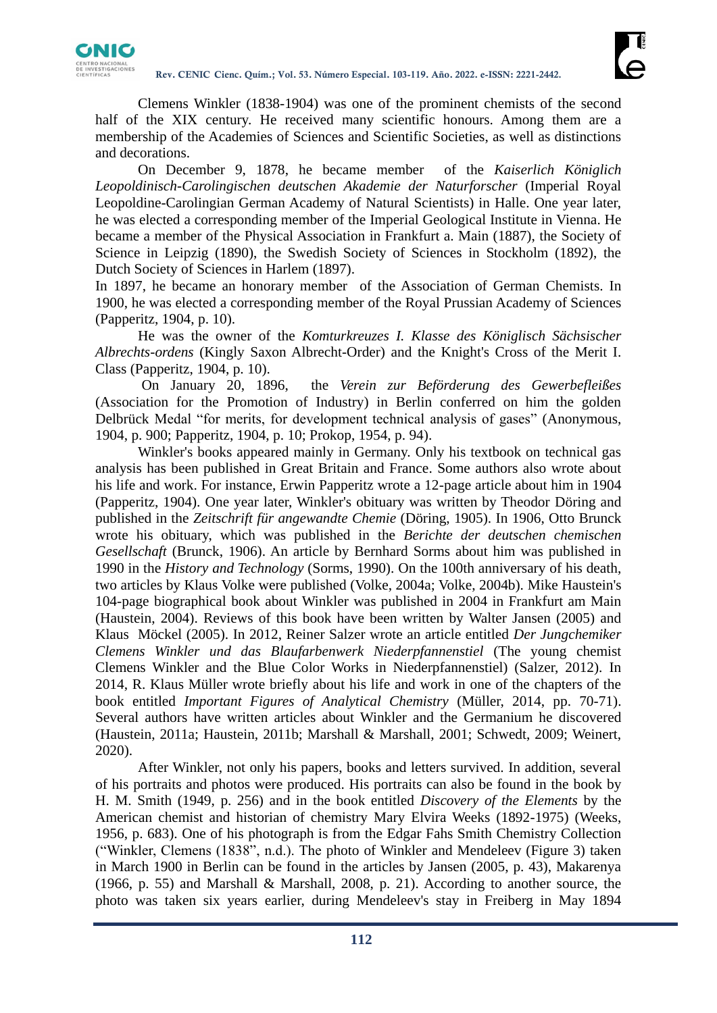

Clemens Winkler (1838-1904) was one of the prominent chemists of the second half of the XIX century. He received many scientific honours. Among them are a membership of the Academies of Sciences and Scientific Societies, as well as distinctions and decorations.

On December 9, 1878, he became member of the *Kaiserlich Königlich Leopoldinisch-Carolingischen deutschen Akademie der Naturforscher* (Imperial Royal Leopoldine-Carolingian German Academy of Natural Scientists) in Halle. One year later, he was elected a corresponding member of the Imperial Geological Institute in Vienna. He became a member of the Physical Association in Frankfurt a. Main (1887), the Society of Science in Leipzig (1890), the Swedish Society of Sciences in Stockholm (1892), the Dutch Society of Sciences in Harlem (1897).

In 1897, he became an honorary member of the Association of German Chemists. In 1900, he was elected a corresponding member of the Royal Prussian Academy of Sciences (Papperitz, 1904, p. 10).

He was the owner of the *Komturkreuzes I. Klasse des Königlisch Sächsischer Albrechts-ordens* (Kingly Saxon Albrecht-Order) and the Knight's Cross of the Merit I. Class (Papperitz, 1904, p. 10).

On January 20, 1896, the *Verein zur Beförderung des Gewerbefleißes* (Association for the Promotion of Industry) in Berlin conferred on him the golden Delbrück Medal "for merits, for development technical analysis of gases" (Anonymous, 1904, p. 900; Papperitz, 1904, p. 10; Prokop, 1954, p. 94).

Winkler's books appeared mainly in Germany. Only his textbook on technical gas analysis has been published in Great Britain and France. Some authors also wrote about his life and work. For instance, Erwin Papperitz wrote a 12-page article about him in 1904 (Papperitz, 1904). One year later, Winkler's obituary was written by Theodor Döring and published in the *Zeitschrift für angewandte Chemie* (Döring, 1905). In 1906, Otto Brunck wrote his obituary, which was published in the *Berichte der deutschen chemischen Gesellschaft* (Brunck, 1906). An article by Bernhard Sorms about him was published in 1990 in the *History and Technology* (Sorms, 1990). On the 100th anniversary of his death, two articles by Klaus Volke were published (Volke, 2004a; Volke, 2004b). Mike Haustein's 104-page biographical book about Winkler was published in 2004 in Frankfurt am Main (Haustein, 2004). Reviews of this book have been written by Walter Jansen (2005) and Klaus Möckel (2005). In 2012, Reiner Salzer wrote an article entitled *Der Jungchemiker Clemens Winkler und das Blaufarbenwerk Niederpfannenstiel* (The young chemist Clemens Winkler and the Blue Color Works in Niederpfannenstiel) (Salzer, 2012). In 2014, R. Klaus Müller wrote briefly about his life and work in one of the chapters of the book entitled *Important Figures of Analytical Chemistry* (Müller, 2014, pp. 70-71). Several authors have written articles about Winkler and the Germanium he discovered (Haustein, 2011a; Haustein, 2011b; Marshall & Marshall, 2001; Schwedt, 2009; Weinert, 2020).

After Winkler, not only his papers, books and letters survived. In addition, several of his portraits and photos were produced. His portraits can also be found in the book by H. M. Smith (1949, p. 256) and in the book entitled *Discovery of the Elements* by the American chemist and historian of chemistry Mary Elvira Weeks (1892-1975) (Weeks, 1956, p. 683). One of his photograph is from the Edgar Fahs Smith Chemistry Collection ("Winkler, Clemens (1838", n.d.). The photo of Winkler and Mendeleev (Figure 3) taken in March 1900 in Berlin can be found in the articles by Jansen (2005, p. 43), Makarenya (1966, p. 55) and Marshall & Marshall, 2008, p. 21). According to another source, the photo was taken six years earlier, during Mendeleev's stay in Freiberg in May 1894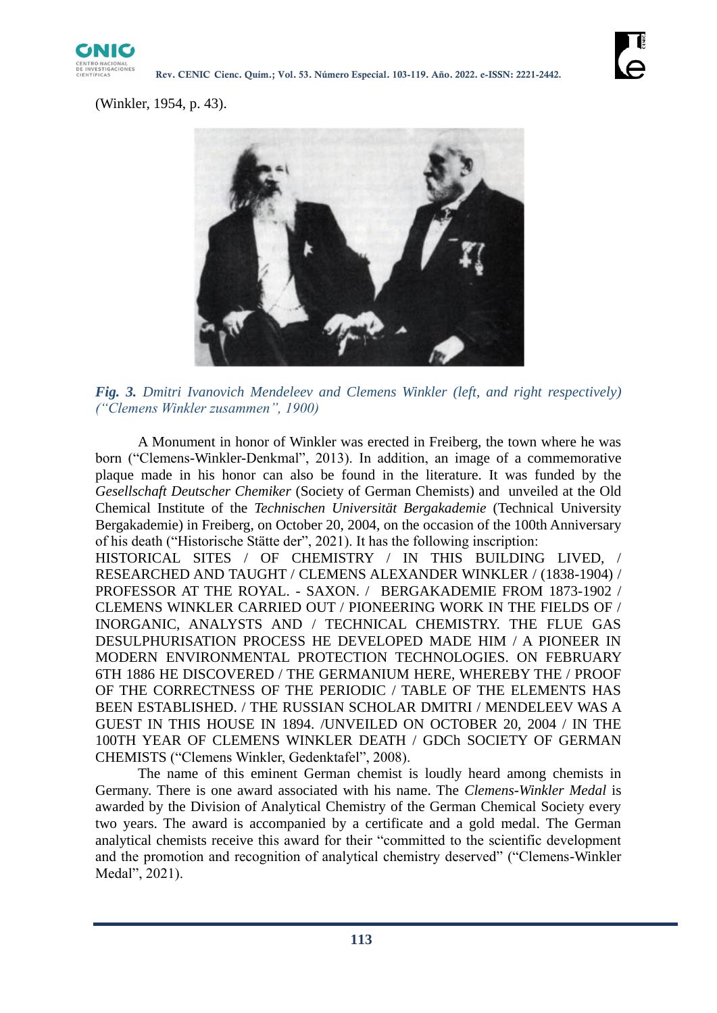

(Winkler, 1954, p. 43).



*Fig. 3. Dmitri Ivanovich Mendeleev and Clemens Winkler (left, and right respectively) ("Clemens Winkler zusammen", 1900)*

A Monument in honor of Winkler was erected in Freiberg, the town where he was born ("Clemens-Winkler-Denkmal", 2013). In addition, an image of a commemorative plaque made in his honor can also be found in the literature. It was funded by the *Gesellschaft Deutscher Chemiker* (Society of German Chemists) and unveiled at the Old Chemical Institute of the *Technischen Universität Bergakademie* (Technical University Bergakademie) in Freiberg, on October 20, 2004, on the occasion of the 100th Anniversary of his death ("Historische Stätte der", 2021). It has the following inscription:

HISTORICAL SITES / OF CHEMISTRY / IN THIS BUILDING LIVED, / RESEARCHED AND TAUGHT / CLEMENS ALEXANDER WINKLER / (1838-1904) / PROFESSOR AT THE ROYAL. - SAXON. / BERGAKADEMIE FROM 1873-1902 / CLEMENS WINKLER CARRIED OUT / PIONEERING WORK IN THE FIELDS OF / INORGANIC, ANALYSTS AND / TECHNICAL CHEMISTRY. THE FLUE GAS DESULPHURISATION PROCESS HE DEVELOPED MADE HIM / A PIONEER IN MODERN ENVIRONMENTAL PROTECTION TECHNOLOGIES. ON FEBRUARY 6TH 1886 HE DISCOVERED / THE GERMANIUM HERE, WHEREBY THE / PROOF OF THE CORRECTNESS OF THE PERIODIC / TABLE OF THE ELEMENTS HAS BEEN ESTABLISHED. / THE RUSSIAN SCHOLAR DMITRI / MENDELEEV WAS A GUEST IN THIS HOUSE IN 1894. /UNVEILED ON OCTOBER 20, 2004 / IN THE 100TH YEAR OF CLEMENS WINKLER DEATH / GDCh SOCIETY OF GERMAN CHEMISTS ("Clemens Winkler, Gedenktafel", 2008).

The name of this eminent German chemist is loudly heard among chemists in Germany. There is one award associated with his name. The *Clemens-Winkler Medal* is awarded by the Division of Analytical Chemistry of the German Chemical Society every two years. The award is accompanied by a certificate and a gold medal. The German analytical chemists receive this award for their "committed to the scientific development and the promotion and recognition of analytical chemistry deserved" ("Clemens-Winkler Medal", 2021).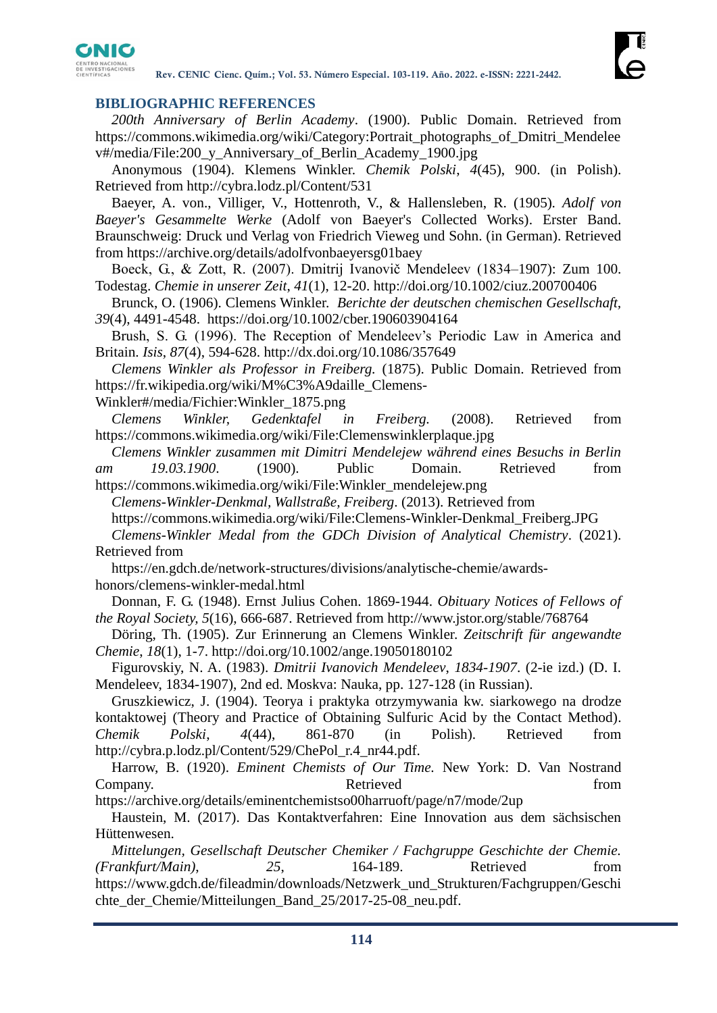

### **BIBLIOGRAPHIC REFERENCES**

*200th Anniversary of Berlin Academy*. (1900). Public Domain. Retrieved from [https://commons.wikimedia.org/wiki/Category:Portrait\\_photographs\\_of\\_Dmitri\\_Mendelee](https://commons.wikimedia.org/wiki/Category:Portrait_photographs_of_Dmitri_Mendeleev#/media/File:200_y_Anniversary_of_Berlin_Academy_1900.jpg) [v#/media/File:200\\_y\\_Anniversary\\_of\\_Berlin\\_Academy\\_1900.jpg](https://commons.wikimedia.org/wiki/Category:Portrait_photographs_of_Dmitri_Mendeleev#/media/File:200_y_Anniversary_of_Berlin_Academy_1900.jpg)

Anonymous (1904). Klemens Winkler. *Chemik Polski*, *4*(45), 900. (in Polish). Retrieved from<http://cybra.lodz.pl/Content/531>

Baeyer, A. von., Villiger, V., Hottenroth, V., & Hallensleben, R. (1905)*. Adolf von Baeyer's Gesammelte Werke* (Adolf von Baeyer's Collected Works). Erster Band. Braunschweig: Druck und Verlag von Friedrich Vieweg und Sohn. (in German). Retrieved from<https://archive.org/details/adolfvonbaeyersg01baey>

Boeck, G., & Zott, R. (2007). Dmitrij Ivanovič Mendeleev (1834–1907): Zum 100. Todestag. *Chemie in unserer Zeit*, *41*(1), 12-20.<http://doi.org/10.1002/ciuz.200700406>

Brunck, O. (1906). Clemens Winkler. *Berichte der deutschen chemischen Gesellschaft, 39*(4), 4491-4548. <https://doi.org/10.1002/cber.190603904164>

Brush, S. G. (1996). The Reception of Mendeleev's Periodic Law in America and Britain. *Isis*, *87*(4), 594-628.<http://dx.doi.org/10.1086/357649>

*Clemens Winkler als Professor in Freiberg.* (1875). Public Domain. Retrieved from [https://fr.wikipedia.org/wiki/M%C3%A9daille\\_Clemens-](https://fr.wikipedia.org/wiki/Médaille_Clemens-Winkler#/media/Fichier:Winkler_1875.png)

[Winkler#/media/Fichier:Winkler\\_1875.png](https://fr.wikipedia.org/wiki/Médaille_Clemens-Winkler#/media/Fichier:Winkler_1875.png)

*Clemens Winkler, Gedenktafel in Freiberg.* (2008). Retrieved from <https://commons.wikimedia.org/wiki/File:Clemenswinklerplaque.jpg>

*Clemens Winkler zusammen mit Dimitri Mendelejew während eines Besuchs in Berlin am 19.03.1900*. (1900). Public Domain. Retrieved from [https://commons.wikimedia.org/wiki/File:Winkler\\_mendelejew.png](https://commons.wikimedia.org/wiki/File:Winkler_mendelejew.png)

*Clemens-Winkler-Denkmal, Wallstraße, Freiberg*. (2013). Retrieved from

[https://commons.wikimedia.org/wiki/File:Clemens-Winkler-Denkmal\\_Freiberg.JPG](https://commons.wikimedia.org/wiki/File:Clemens-Winkler-Denkmal_Freiberg.JPG)

*Clemens-Winkler Medal from the GDCh Division of Analytical Chemistry*. (2021). Retrieved from

[https://en.gdch.de/network-structures/divisions/analytische-chemie/awards](https://en.gdch.de/network-structures/divisions/analytische-chemie/awards-honors/clemens-winkler-medal.html)[honors/clemens-winkler-medal.html](https://en.gdch.de/network-structures/divisions/analytische-chemie/awards-honors/clemens-winkler-medal.html)

Donnan, F. G. (1948). Ernst Julius Cohen. 1869-1944. *Obituary Notices of Fellows of the Royal Society, 5*(16), 666-687. Retrieved from<http://www.jstor.org/stable/768764>

Döring, Th. (1905). Zur Erinnerung an Clemens Winkler. *Zeitschrift für angewandte Chemie*, *18*(1), 1-7.<http://doi.org/10.1002/ange.19050180102>

Figurovskiy, N. A. (1983). *Dmitrii Ivanovich Mendeleev*, *1834-1907*. (2-ie izd.) (D. I. Mendeleev, 1834-1907), 2nd ed. Moskva: Nauka, pp. 127-128 (in Russian).

Gruszkiewicz, J. (1904). Teorya i praktyka otrzymywania kw. siarkowego na drodze kontaktowej (Theory and Practice of Obtaining Sulfuric Acid by the Contact Method). *Chemik Polski*, *4*(44), 861-870 (in Polish). Retrieved from [http://cybra.p.lodz.pl/Content/529/ChePol\\_r.4\\_nr44.pdf.](http://cybra.p.lodz.pl/Content/529/ChePol_r.4_nr44.pdf)

Harrow, B. (1920). *Eminent Chemists of Our Time.* New York: D. Van Nostrand Company. The external service extended from the extended from  $\mathbb{R}$  etnieved from  $\mathbb{R}$ 

<https://archive.org/details/eminentchemistso00harruoft/page/n7/mode/2up>

Haustein, M. (2017). Das Kontaktverfahren: Eine Innovation aus dem sächsischen Hüttenwesen.

*Mittelungen, Gesellschaft Deutscher Chemiker / Fachgruppe Geschichte der Chemie. (Frankfurt/Main)*, *25*, 164-189. Retrieved from [https://www.gdch.de/fileadmin/downloads/Netzwerk\\_und\\_Strukturen/Fachgruppen/Geschi](https://www.gdch.de/fileadmin/downloads/Netzwerk_und_Strukturen/Fachgruppen/Geschichte_der_Chemie/Mitteilungen_Band_25/2017-25-08_neu.pdf) chte der Chemie/Mitteilungen Band 25/2017-25-08 neu.pdf.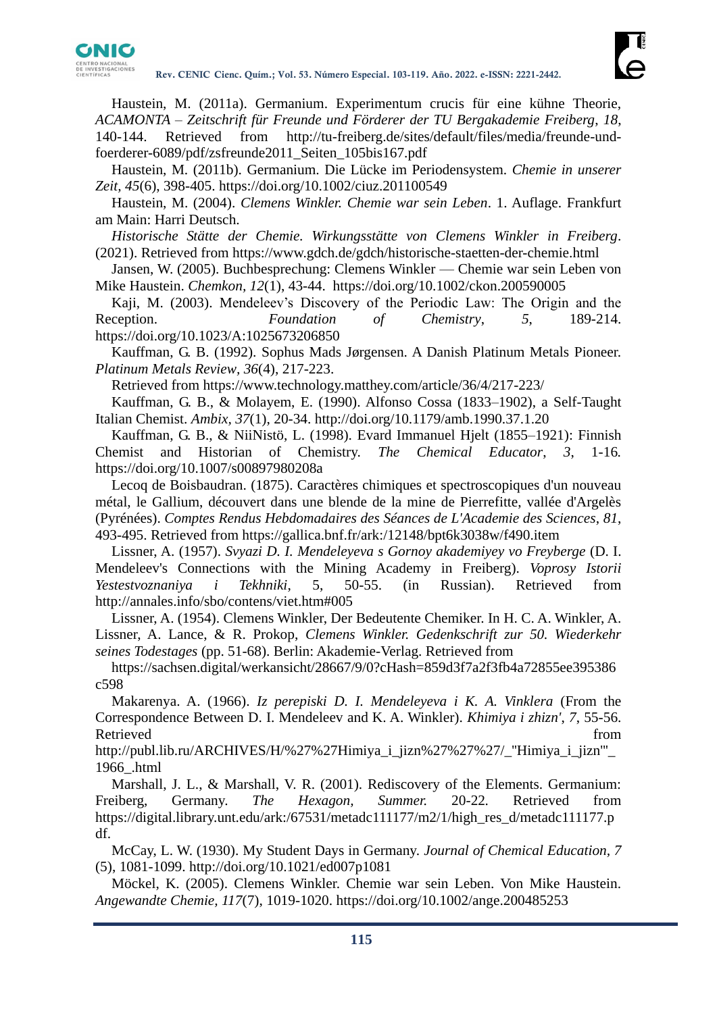

Haustein, M. (2011a). Germanium. Experimentum crucis für eine kühne Theorie, *ACAMONTA – Zeitschrift für Freunde und Förderer der TU Bergakademie Freiberg*, *18*, 140-144. Retrieved from [http://tu-freiberg.de/sites/default/files/media/freunde-und](http://tu-freiberg.de/sites/default/files/media/freunde-und-foerderer-6089/pdf/zsfreunde2011_Seiten_105bis167.pdf)[foerderer-6089/pdf/zsfreunde2011\\_Seiten\\_105bis167.pdf](http://tu-freiberg.de/sites/default/files/media/freunde-und-foerderer-6089/pdf/zsfreunde2011_Seiten_105bis167.pdf)

Haustein, M. (2011b). Germanium. Die Lücke im Periodensystem. *Chemie in unserer Zeit, 45*(6), 398-405.<https://doi.org/10.1002/ciuz.201100549>

Haustein, M. (2004). *Clemens Winkler. Chemie war sein Leben*. 1. Auflage. Frankfurt am Main: Harri Deutsch.

*Historische Stätte der Chemie. Wirkungsstätte von Clemens Winkler in Freiberg*. (2021). Retrieved from<https://www.gdch.de/gdch/historische-staetten-der-chemie.html>

Jansen, W. (2005). Buchbesprechung: Clemens Winkler — Chemie war sein Leben von Mike Haustein. *Chemkon, 12*(1), 43-44. <https://doi.org/10.1002/ckon.200590005>

Kaji, M. (2003). Mendeleev's Discovery of the Periodic Law: The Origin and the Reception. *Foundation of Chemistry*, *5*, 189-214. <https://doi.org/10.1023/A:1025673206850>

Kauffman, G. B. (1992). Sophus Mads Jørgensen. A Danish Platinum Metals Pioneer. *Platinum Metals Review, 36*(4), 217-223.

Retrieved from<https://www.technology.matthey.com/article/36/4/217-223/>

Kauffman, G. B., & Molayem, E. (1990). Alfonso Cossa (1833–1902), a Self-Taught Italian Chemist. *Ambix, 37*(1), 20-34.<http://doi.org/10.1179/amb.1990.37.1.20>

Kauffman, G. B., & NiiNistö, L. (1998). Evard Immanuel Hjelt (1855–1921): Finnish Chemist and Historian of Chemistry. *The Chemical Educator*, *3*, 1-16*.*  <https://doi.org/10.1007/s00897980208a>

Lecoq de Boisbaudran. (1875). Caractères chimiques et spectroscopiques d'un nouveau métal, le Gallium, découvert dans une blende de la mine de Pierrefitte, vallée d'Argelès (Pyrénées). *Comptes Rendus Hebdomadaires des Séances de L'Academie des Sciences*, *81*, 493-495. Retrieved from<https://gallica.bnf.fr/ark:/12148/bpt6k3038w/f490.item>

Lissner, A. (1957). *Svyazi D. I. Mendeleyeva s Gornoy akademiyey vo Freyberge* (D. I. Mendeleev's Connections with the Mining Academy in Freiberg). *Voprosy Istorii Yestestvoznaniya i Tekhniki*, 5, 50-55. (in Russian). Retrieved from <http://annales.info/sbo/contens/viet.htm#005>

Lissner, A. (1954). Clemens Winkler, Der Bedeutente Chemiker. In H. C. A. Winkler, A. Lissner, A. Lance, & R. Prokop, *Clemens Winkler. Gedenkschrift zur 50. Wiederkehr seines Todestages* (pp. 51-68). Berlin: Akademie-Verlag. Retrieved from

[https://sachsen.digital/werkansicht/28667/9/0?cHash=859d3f7a2f3fb4a72855ee395386](https://sachsen.digital/werkansicht/28667/9/0?cHash=859d3f7a2f3fb4a72855ee395386c598) [c598](https://sachsen.digital/werkansicht/28667/9/0?cHash=859d3f7a2f3fb4a72855ee395386c598)

Makarenya. A. (1966). *Iz perepiski D. I. Mendeleyeva i K. A. Vinklera* (From the Correspondence Between D. I. Mendeleev and K. A. Winkler). *Khimiya i zhizn'*, *7*, 55-56. Retrieved from the state of the state of the state of the state of the state of the state of the state of the state of the state of the state of the state of the state of the state of the state of the state of the state of

[http://publ.lib.ru/ARCHIVES/H/%27%27Himiya\\_i\\_jizn%27%27%27/\\_''Himiya\\_i\\_jizn'''\\_](http://publ.lib.ru/ARCHIVES/H/%27%27Himiya_i_jizn%27%27%27/_) [1966\\_.html](http://publ.lib.ru/ARCHIVES/H/%27%27Himiya_i_jizn%27%27%27/_)

Marshall, J. L., & Marshall, V. R. (2001). Rediscovery of the Elements. Germanium: Freiberg, Germany. *The Hexagon, Summer.* 20-22*.* Retrieved from [https://digital.library.unt.edu/ark:/67531/metadc111177/m2/1/high\\_res\\_d/metadc111177.p](https://digital.library.unt.edu/ark:/67531/metadc111177/m2/1/high_res_d/metadc111177.pdf) [df.](https://digital.library.unt.edu/ark:/67531/metadc111177/m2/1/high_res_d/metadc111177.pdf)

McCay, L. W. (1930). My Student Days in Germany. *Journal of Chemical Education, 7* (5), 1081-1099.<http://doi.org/10.1021/ed007p1081>

Möckel, K. (2005). Clemens Winkler. Chemie war sein Leben. Von Mike Haustein. *Angewandte Chemie, 117*(7), 1019-1020.<https://doi.org/10.1002/ange.200485253>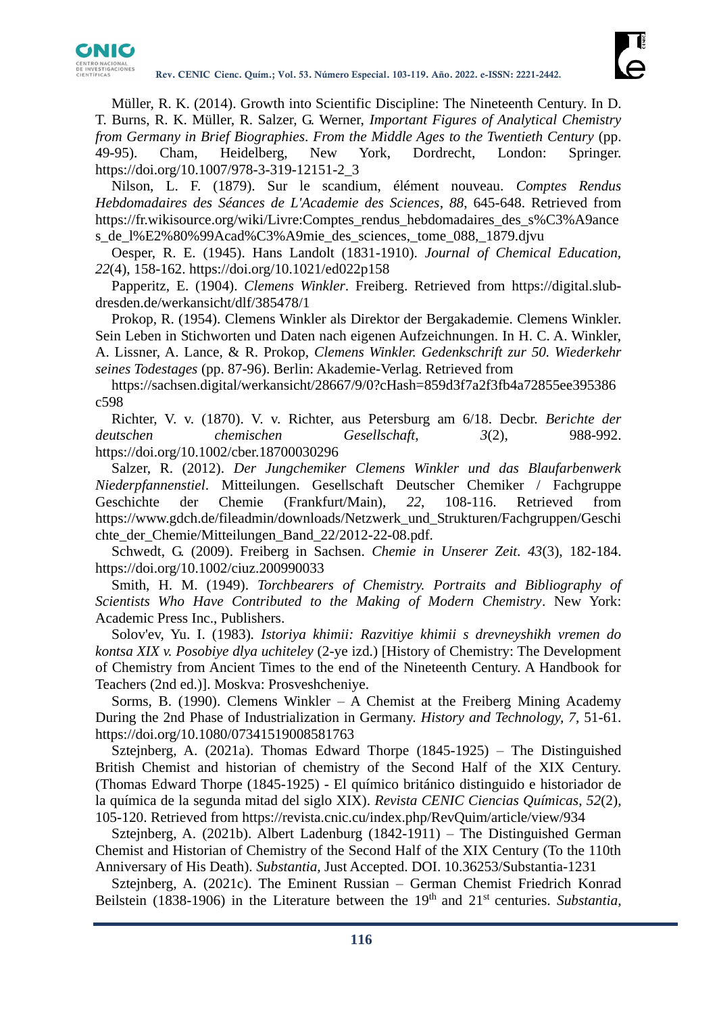

Müller, R. K. (2014). Growth into Scientific Discipline: The Nineteenth Century. In D. T. Burns, R. K. Müller, R. Salzer, G. Werner, *Important Figures of Analytical Chemistry from Germany in Brief Biographies*. *From the Middle Ages to the Twentieth Century* (pp. 49-95). Cham, Heidelberg, New York, Dordrecht, London: Springer. [https://doi.org/10.1007/978-3-319-12151-2\\_3](https://doi.org/10.1007/978-3-319-12151-2_3)

Nilson, L. F. (1879). Sur le scandium, élément nouveau. *Comptes Rendus Hebdomadaires des Séances de L'Academie des Sciences*, *88*, 645-648. Retrieved from [https://fr.wikisource.org/wiki/Livre:Comptes\\_rendus\\_hebdomadaires\\_des\\_s%C3%A9ance](https://fr.wikisource.org/wiki/Livre:Comptes_rendus_hebdomadaires_des_séances_de_l’Académie_des_sciences,_tome_088,_1879.djvu) [s\\_de\\_l%E2%80%99Acad%C3%A9mie\\_des\\_sciences,\\_tome\\_088,\\_1879.djvu](https://fr.wikisource.org/wiki/Livre:Comptes_rendus_hebdomadaires_des_séances_de_l’Académie_des_sciences,_tome_088,_1879.djvu)

Oesper, R. E. (1945). Hans Landolt (1831-1910). *Journal of Chemical Education, 22*(4), 158-162.<https://doi.org/10.1021/ed022p158>

Papperitz, E. (1904). *Clemens Winkler*. Freiberg. Retrieved from [https://digital.slub](https://digital.slub-dresden.de/werkansicht/dlf/385478/1)[dresden.de/werkansicht/dlf/385478/1](https://digital.slub-dresden.de/werkansicht/dlf/385478/1)

Prokop, R. (1954). Clemens Winkler als Direktor der Bergakademie. Clemens Winkler. Sein Leben in Stichworten und Daten nach eigenen Aufzeichnungen. In H. C. A. Winkler, A. Lissner, A. Lance, & R. Prokop, *Clemens Winkler. Gedenkschrift zur 50. Wiederkehr seines Todestages* (pp. 87-96). Berlin: Akademie-Verlag. Retrieved from

[https://sachsen.digital/werkansicht/28667/9/0?cHash=859d3f7a2f3fb4a72855ee395386](https://sachsen.digital/werkansicht/28667/9/0?cHash=859d3f7a2f3fb4a72855ee395386c598) [c598](https://sachsen.digital/werkansicht/28667/9/0?cHash=859d3f7a2f3fb4a72855ee395386c598)

Richter, V. v. (1870). V. v. Richter, aus Petersburg am 6/18. Decbr. *Berichte der deutschen chemischen Gesellschaft*, *3*(2), 988-992. <https://doi.org/10.1002/cber.18700030296>

Salzer, R. (2012). *Der Jungchemiker Clemens Winkler und das Blaufarbenwerk Niederpfannenstiel*. Mitteilungen. Gesellschaft Deutscher Chemiker / Fachgruppe Geschichte der Chemie (Frankfurt/Main), *22*, 108-116. Retrieved from [https://www.gdch.de/fileadmin/downloads/Netzwerk\\_und\\_Strukturen/Fachgruppen/Geschi](https://www.gdch.de/fileadmin/downloads/Netzwerk_und_Strukturen/Fachgruppen/Geschichte_der_Chemie/Mitteilungen_Band_22/2012-22-08.pdf) chte der Chemie/Mitteilungen Band 22/2012-22-08.pdf.

Schwedt, G. (2009). Freiberg in Sachsen. *Chemie in Unserer Zeit. 43*(3), 182-184. <https://doi.org/10.1002/ciuz.200990033>

Smith, H. M. (1949). *Torchbearers of Chemistry. Portraits and Bibliography of Scientists Who Have Contributed to the Making of Modern Chemistry*. New York: Academic Press Inc., Publishers.

Solov'ev, Yu. I. (1983)*. Istoriya khimii: Razvitiye khimii s drevneyshikh vremen do kontsa XIX v. Posobiye dlya uchiteley* (2-ye izd.) [History of Chemistry: The Development of Chemistry from Ancient Times to the end of the Nineteenth Century. A Handbook for Teachers (2nd ed.)]. Moskva: Prosveshcheniye.

Sorms, B. (1990). Clemens Winkler – A Chemist at the Freiberg Mining Academy During the 2nd Phase of Industrialization in Germany. *History and Technology, 7*, 51-61. <https://doi.org/10.1080/07341519008581763>

Sztejnberg, A. (2021a). Thomas Edward Thorpe (1845-1925) – The Distinguished British Chemist and historian of chemistry of the Second Half of the XIX Century. (Thomas Edward Thorpe (1845-1925) - El químico británico distinguido e historiador de la química de la segunda mitad del siglo XIX). *Revista CENIC Ciencias Químicas*, *52*(2), 105-120. Retrieved from<https://revista.cnic.cu/index.php/RevQuim/article/view/934>

Sztejnberg, A. (2021b). Albert Ladenburg (1842-1911) – The Distinguished German Chemist and Historian of Chemistry of the Second Half of the XIX Century (To the 110th Anniversary of His Death). *Substantia,* Just Accepted. DOI. 10.36253/Substantia-1231

Sztejnberg, A. (2021c). The Eminent Russian – German Chemist Friedrich Konrad Beilstein (1838-1906) in the Literature between the 19th and 21st centuries. *Substantia,*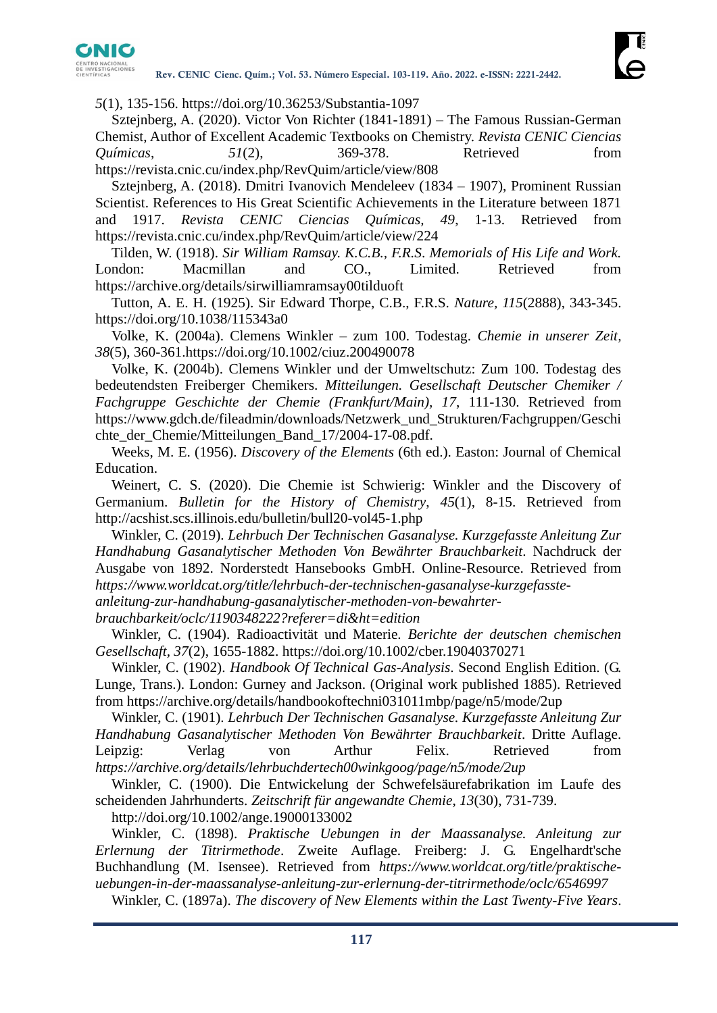

*5*(1), 135-156. <https://doi.org/10.36253/Substantia-1097>

Sztejnberg, A. (2020). Victor Von Richter (1841-1891) – The Famous Russian-German Chemist, Author of Excellent Academic Textbooks on Chemistry. *Revista CENIC Ciencias Químicas*, *51*(2), 369-378. Retrieved from <https://revista.cnic.cu/index.php/RevQuim/article/view/808>

Sztejnberg, A. (2018). Dmitri Ivanovich Mendeleev (1834 – 1907), Prominent Russian Scientist. References to His Great Scientific Achievements in the Literature between 1871 and 1917. *Revista CENIC Ciencias Químicas, 49*, 1-13. Retrieved from <https://revista.cnic.cu/index.php/RevQuim/article/view/224>

Tilden, W. (1918). *Sir William Ramsay. K.C.B., F.R.S*. *Memorials of His Life and Work.* London: Macmillan and CO., Limited. Retrieved from <https://archive.org/details/sirwilliamramsay00tilduoft>

Tutton, A. E. H. (1925). Sir Edward Thorpe, C.B., F.R.S. *Nature, 115*(2888), 343-345. <https://doi.org/10.1038/115343a0>

Volke, K. (2004a). Clemens Winkler – zum 100. Todestag. *Chemie in unserer Zeit, 38*(5), 360-361[.https://doi.org/10.1002/ciuz.200490078](https://doi.org/10.1002/ciuz.200490078)

Volke, K. (2004b). Clemens Winkler und der Umweltschutz: Zum 100. Todestag des bedeutendsten Freiberger Chemikers. *Mitteilungen. Gesellschaft Deutscher Chemiker / Fachgruppe Geschichte der Chemie (Frankfurt/Main), 17*, 111-130. Retrieved from [https://www.gdch.de/fileadmin/downloads/Netzwerk\\_und\\_Strukturen/Fachgruppen/Geschi](https://www.gdch.de/fileadmin/downloads/Netzwerk_und_Strukturen/Fachgruppen/Geschichte_der_Chemie/Mitteilungen_Band_17/2004-17-08.pdf) [chte\\_der\\_Chemie/Mitteilungen\\_Band\\_17/2004-17-08.pdf.](https://www.gdch.de/fileadmin/downloads/Netzwerk_und_Strukturen/Fachgruppen/Geschichte_der_Chemie/Mitteilungen_Band_17/2004-17-08.pdf)

Weeks, M. E. (1956). *Discovery of the Elements* (6th ed.). Easton: Journal of Chemical Education.

Weinert, C. S. (2020). Die Chemie ist Schwierig: Winkler and the Discovery of Germanium. *Bulletin for the History of Chemistry*, *45*(1), 8-15. Retrieved from <http://acshist.scs.illinois.edu/bulletin/bull20-vol45-1.php>

Winkler, C. (2019). *Lehrbuch Der Technischen Gasanalyse. Kurzgefasste Anleitung Zur Handhabung Gasanalytischer Methoden Von Bewährter Brauchbarkeit*. Nachdruck der Ausgabe von 1892. Norderstedt Hansebooks GmbH. Online-Resource. Retrieved from *[https://www.worldcat.org/title/lehrbuch-der-technischen-gasanalyse-kurzgefasste-](https://www.worldcat.org/title/lehrbuch-der-technischen-gasanalyse-kurzgefasste-anleitung-zur-handhabung-gasanalytischer-methoden-von-bewahrter-brauchbarkeit/oclc/1190348222?referer=di&ht=edition)*

*[anleitung-zur-handhabung-gasanalytischer-methoden-von-bewahrter-](https://www.worldcat.org/title/lehrbuch-der-technischen-gasanalyse-kurzgefasste-anleitung-zur-handhabung-gasanalytischer-methoden-von-bewahrter-brauchbarkeit/oclc/1190348222?referer=di&ht=edition)*

*[brauchbarkeit/oclc/1190348222?referer=di&ht=edition](https://www.worldcat.org/title/lehrbuch-der-technischen-gasanalyse-kurzgefasste-anleitung-zur-handhabung-gasanalytischer-methoden-von-bewahrter-brauchbarkeit/oclc/1190348222?referer=di&ht=edition)*

Winkler, C. (1904). Radioactivität und Materie. *Berichte der deutschen chemischen Gesellschaft, 37*(2), 1655-1882.<https://doi.org/10.1002/cber.19040370271>

Winkler, C. (1902). *Handbook Of Technical Gas-Analysis*. Second English Edition. (G. Lunge, Trans.). London: Gurney and Jackson. (Original work published 1885). Retrieved from<https://archive.org/details/handbookoftechni031011mbp/page/n5/mode/2up>

Winkler, C. (1901). *Lehrbuch Der Technischen Gasanalyse. Kurzgefasste Anleitung Zur Handhabung Gasanalytischer Methoden Von Bewährter Brauchbarkeit*. Dritte Auflage. Leipzig: Verlag von Arthur Felix. Retrieved from *<https://archive.org/details/lehrbuchdertech00winkgoog/page/n5/mode/2up>*

Winkler, C. (1900). Die Entwickelung der Schwefelsäurefabrikation im Laufe des scheidenden Jahrhunderts. *Zeitschrift für angewandte Chemie*, *13*(30), 731-739.

<http://doi.org/10.1002/ange.19000133002>

Winkler, C. (1898). *Praktische Uebungen in der Maassanalyse. Anleitung zur Erlernung der Titrirmethode*. Zweite Auflage. Freiberg: J. G. Engelhardt'sche Buchhandlung (M. Isensee). Retrieved from *[https://www.worldcat.org/title/praktische](https://www.worldcat.org/title/praktische-uebungen-in-der-maassanalyse-anleitung-zur-erlernung-der-titrirmethode/oclc/6546997)[uebungen-in-der-maassanalyse-anleitung-zur-erlernung-der-titrirmethode/oclc/6546997](https://www.worldcat.org/title/praktische-uebungen-in-der-maassanalyse-anleitung-zur-erlernung-der-titrirmethode/oclc/6546997)*

Winkler, C. (1897a). *The discovery of New Elements within the Last Twenty-Five Years*.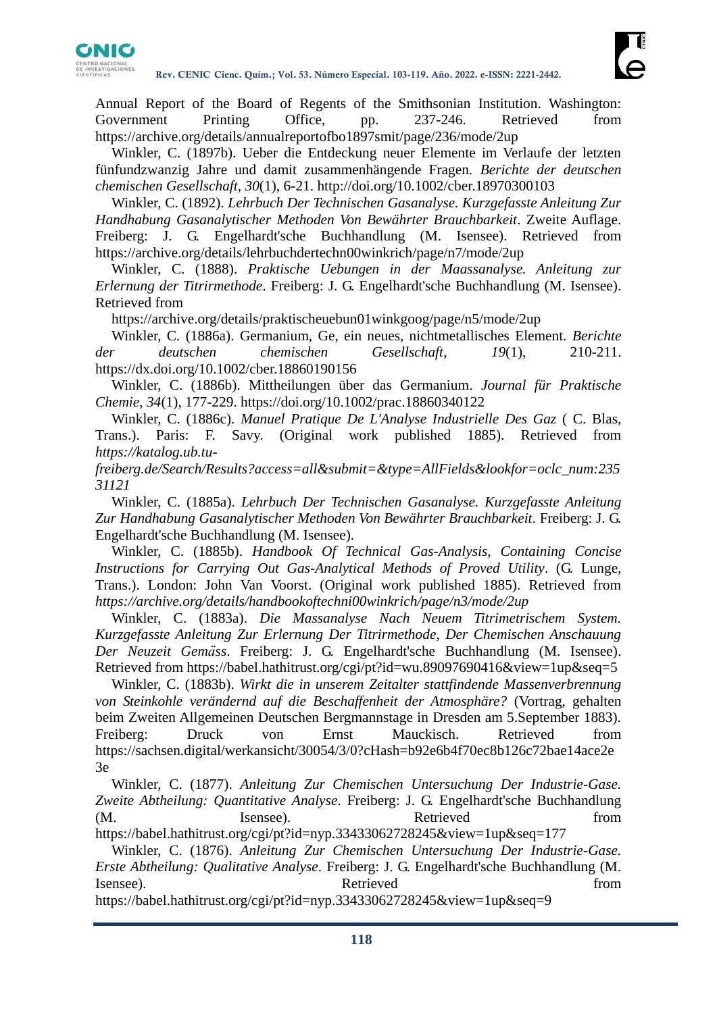

Annual Report of the Board of Regents of the Smithsonian Institution. Washington: Government Printing Office, pp. 237-246. Retrieved from <https://archive.org/details/annualreportofbo1897smit/page/236/mode/2up>

Winkler, C. (1897b). Ueber die Entdeckung neuer Elemente im Verlaufe der letzten fünfundzwanzig Jahre und damit zusammenhängende Fragen. *Berichte der deutschen chemischen Gesellschaft, 30*(1), 6-21.<http://doi.org/10.1002/cber.18970300103>

Winkler, C. (1892). *Lehrbuch Der Technischen Gasanalyse. Kurzgefasste Anleitung Zur Handhabung Gasanalytischer Methoden Von Bewährter Brauchbarkeit*. Zweite Auflage. Freiberg: J. G. Engelhardt'sche Buchhandlung (M. Isensee). Retrieved from <https://archive.org/details/lehrbuchdertechn00winkrich/page/n7/mode/2up>

Winkler, C. (1888). *Praktische Uebungen in der Maassanalyse. Anleitung zur Erlernung der Titrirmethode*. Freiberg: J. G. Engelhardt'sche Buchhandlung (M. Isensee). Retrieved from

<https://archive.org/details/praktischeuebun01winkgoog/page/n5/mode/2up>

Winkler, C. (1886a). Germanium, Ge, ein neues, nichtmetallisches Element. *Berichte der deutschen chemischen Gesellschaft*, *19*(1), 210-211. <https://dx.doi.org/10.1002/cber.18860190156>

Winkler, C. (1886b). Mittheilungen über das Germanium. *Journal für Praktische Chemie, 34*(1), 177-229.<https://doi.org/10.1002/prac.18860340122>

Winkler, C. (1886c). *Manuel Pratique De L'Analyse Industrielle Des Gaz* ( C. Blas, Trans.). Paris: F. Savy. (Original work published 1885). Retrieved from *[https://katalog.ub.tu-](https://katalog.ub.tu-freiberg.de/Search/Results?access=all&submit=&type=AllFields&lookfor=oclc_num:23531121)*

*[freiberg.de/Search/Results?access=all&submit=&type=AllFields&lookfor=oclc\\_num:235](https://katalog.ub.tu-freiberg.de/Search/Results?access=all&submit=&type=AllFields&lookfor=oclc_num:23531121) [31121](https://katalog.ub.tu-freiberg.de/Search/Results?access=all&submit=&type=AllFields&lookfor=oclc_num:23531121)*

Winkler, C. (1885a). *Lehrbuch Der Technischen Gasanalyse. Kurzgefasste Anleitung Zur Handhabung Gasanalytischer Methoden Von Bewährter Brauchbarkeit*. Freiberg: J. G. Engelhardt'sche Buchhandlung (M. Isensee).

Winkler, C. (1885b). *Handbook Of Technical Gas-Analysis, Containing Concise Instructions for Carrying Out Gas-Analytical Methods of Proved Utility*. (G. Lunge, Trans.). London: John Van Voorst. (Original work published 1885). Retrieved from *<https://archive.org/details/handbookoftechni00winkrich/page/n3/mode/2up>*

Winkler, C. (1883a). *Die Massanalyse Nach Neuem Titrimetrischem System. Kurzgefasste Anleitung Zur Erlernung Der Titrirmethode, Der Chemischen Anschauung Der Neuzeit Gemäss*. Freiberg: J. G. Engelhardt'sche Buchhandlung (M. Isensee). Retrieved from<https://babel.hathitrust.org/cgi/pt?id=wu.89097690416&view=1up&seq=5>

Winkler, C. (1883b). *Wirkt die in unserem Zeitalter stattfindende Massenverbrennung von Steinkohle verändernd auf die Beschaffenheit der Atmosphäre?* (Vortrag, gehalten beim Zweiten Allgemeinen Deutschen Bergmannstage in Dresden am 5.September 1883). Freiberg: Druck von Ernst Mauckisch. Retrieved from [https://sachsen.digital/werkansicht/30054/3/0?cHash=b92e6b4f70ec8b126c72bae14ace2e](https://sachsen.digital/werkansicht/30054/3/0?cHash=b92e6b4f70ec8b126c72bae14ace2e3e) [3e](https://sachsen.digital/werkansicht/30054/3/0?cHash=b92e6b4f70ec8b126c72bae14ace2e3e)

Winkler, C. (1877). *Anleitung Zur Chemischen Untersuchung Der Industrie-Gase. Zweite Abtheilung: Quantitative Analyse*. Freiberg: J. G. Engelhardt'sche Buchhandlung (M. Isensee). Retrieved from

<https://babel.hathitrust.org/cgi/pt?id=nyp.33433062728245&view=1up&seq=177>

Winkler, C. (1876). *Anleitung Zur Chemischen Untersuchung Der Industrie-Gase. Erste Abtheilung: Qualitative Analyse*. Freiberg: J. G. Engelhardt'sche Buchhandlung (M. Isensee). Retrieved from

<https://babel.hathitrust.org/cgi/pt?id=nyp.33433062728245&view=1up&seq=9>